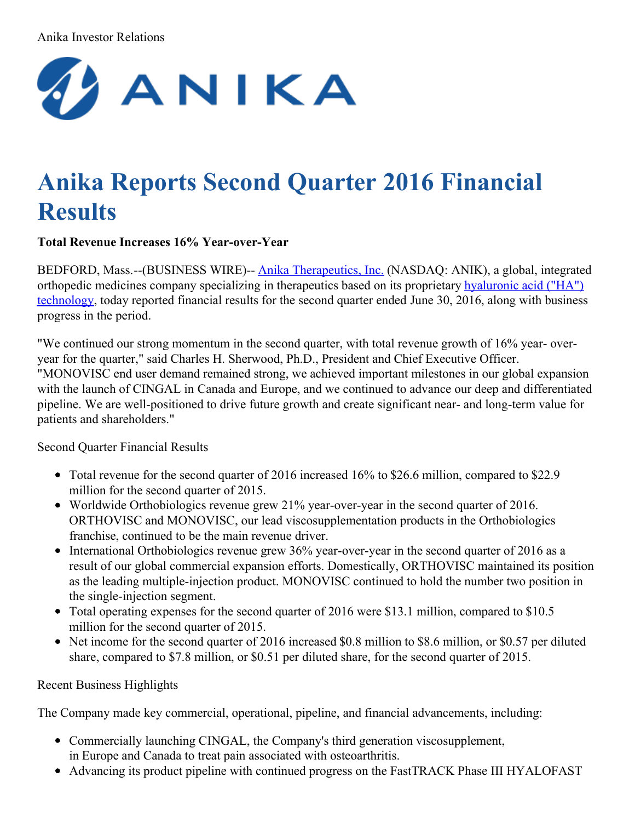### Anika Investor Relations



# **Anika Reports Second Quarter 2016 Financial Results**

# **Total Revenue Increases 16% Year-over-Year**

BEDFORD, Mass.--(BUSINESS WIRE)-- Anika [Therapeutics,](http://cts.businesswire.com/ct/CT?id=smartlink&url=http%3A%2F%2Fwww.anikatherapeutics.com&esheet=51389765&newsitemid=20160727006327&lan=en-US&anchor=Anika+Therapeutics%2C+Inc.&index=1&md5=c3ffbd24c22a94ae0670e9b864c3775e) Inc. (NASDAQ: ANIK), a global, integrated orthopedic medicines company specializing in [therapeutics](http://cts.businesswire.com/ct/CT?id=smartlink&url=http%3A%2F%2Fwww.anikatherapeutics.com%2Ftechnology%2Fha-platform%2F&esheet=51389765&newsitemid=20160727006327&lan=en-US&anchor=hyaluronic+acid+%28%E2%80%9CHA%E2%80%9D%29+technology&index=2&md5=76cda02f6f721d56884396c8d8df4e60) based on its proprietary hyaluronic acid ("HA") technology, today reported financial results for the second quarter ended June 30, 2016, along with business progress in the period.

"We continued our strong momentum in the second quarter, with total revenue growth of 16% year- overyear for the quarter," said Charles H. Sherwood, Ph.D., President and Chief Executive Officer. "MONOVISC end user demand remained strong, we achieved important milestones in our global expansion with the launch of CINGAL in Canada and Europe, and we continued to advance our deep and differentiated pipeline. We are well-positioned to drive future growth and create significant near- and long-term value for patients and shareholders."

Second Quarter Financial Results

- Total revenue for the second quarter of 2016 increased 16% to \$26.6 million, compared to \$22.9 million for the second quarter of 2015.
- Worldwide Orthobiologics revenue grew 21% year-over-year in the second quarter of 2016. ORTHOVISC and MONOVISC, our lead viscosupplementation products in the Orthobiologics franchise, continued to be the main revenue driver.
- International Orthobiologics revenue grew 36% year-over-year in the second quarter of 2016 as a result of our global commercial expansion efforts. Domestically, ORTHOVISC maintained its position as the leading multiple-injection product. MONOVISC continued to hold the number two position in the single-injection segment.
- Total operating expenses for the second quarter of 2016 were \$13.1 million, compared to \$10.5 million for the second quarter of 2015.
- Net income for the second quarter of 2016 increased \$0.8 million to \$8.6 million, or \$0.57 per diluted share, compared to \$7.8 million, or \$0.51 per diluted share, for the second quarter of 2015.

Recent Business Highlights

The Company made key commercial, operational, pipeline, and financial advancements, including:

- Commercially launching CINGAL, the Company's third generation viscosupplement, in Europe and Canada to treat pain associated with osteoarthritis.
- Advancing its product pipeline with continued progress on the FastTRACK Phase III HYALOFAST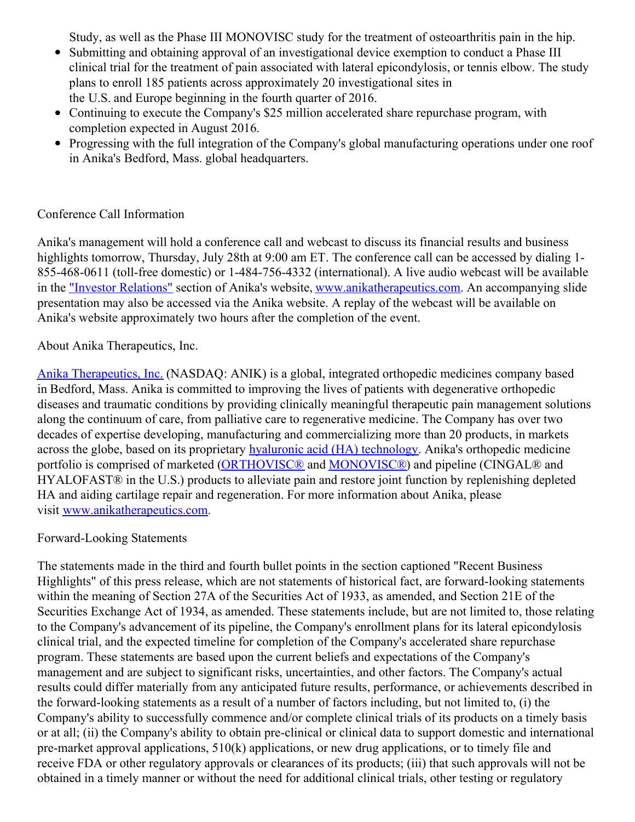Study, as well as the Phase III MONOVISC study for the treatment of osteoarthritis pain in the hip.

- Submitting and obtaining approval of an investigational device exemption to conduct a Phase III clinical trial for the treatment of pain associated with lateral epicondylosis, or tennis elbow. The study plans to enroll 185 patients across approximately 20 investigational sites in the U.S. and Europe beginning in the fourth quarter of 2016.
- Continuing to execute the Company's \$25 million accelerated share repurchase program, with completion expected in August 2016.
- Progressing with the full integration of the Company's global manufacturing operations under one roof in Anika's Bedford, Mass. global headquarters.

## Conference Call Information

Anika's management will hold a conference call and webcast to discuss its financial results and business highlights tomorrow, Thursday, July 28th at 9:00 am ET. The conference call can be accessed by dialing 1-855-468-0611 (toll-free domestic) or 1-484-756-4332 (international). A live audio webcast will be available in the "Investor [Relations"](http://cts.businesswire.com/ct/CT?id=smartlink&url=http%3A%2F%2Fir.anikatherapeutics.com%2Fevents.cfm&esheet=51389765&newsitemid=20160727006327&lan=en-US&anchor=%22Investor+Relations%22&index=3&md5=ba4448583dcbaeadb4711ff923ea57fd) section of Anika's website, [www.anikatherapeutics.com](http://cts.businesswire.com/ct/CT?id=smartlink&url=http%3A%2F%2Fwww.anikatherapeutics.com%2Findex.html&esheet=51389765&newsitemid=20160727006327&lan=en-US&anchor=www.anikatherapeutics.com&index=4&md5=4d08a4820855d914f94c4be0296ffba4). An accompanying slide presentation may also be accessed via the Anika website. A replay of the webcast will be available on Anika's website approximately two hours after the completion of the event.

### About Anika Therapeutics, Inc.

Anika [Therapeutics,](http://cts.businesswire.com/ct/CT?id=smartlink&url=http%3A%2F%2Fwww.anikatherapeutics.com&esheet=51389765&newsitemid=20160727006327&lan=en-US&anchor=Anika+Therapeutics%2C+Inc.&index=5&md5=bed568d4607c21b24fa461afc7b67ffa) Inc. (NASDAQ: ANIK) is a global, integrated orthopedic medicines company based in Bedford, Mass. Anika is committed to improving the lives of patients with degenerative orthopedic diseases and traumatic conditions by providing clinically meaningful therapeutic pain management solutions along the continuum of care, from palliative care to regenerative medicine. The Company has over two decades of expertise developing, manufacturing and commercializing more than 20 products, in markets across the globe, based on its proprietary hyaluronic acid (HA) [technology](http://cts.businesswire.com/ct/CT?id=smartlink&url=http%3A%2F%2Fwww.anikatherapeutics.com%2Ftechnology%2Fha-platform%2F&esheet=51389765&newsitemid=20160727006327&lan=en-US&anchor=hyaluronic+acid+%28HA%29+technology&index=6&md5=a30df700fdc0d3a1f58c2a9938caa2d8). Anika's orthopedic medicine portfolio is comprised of marketed [\(ORTHOVISC®](http://cts.businesswire.com/ct/CT?id=smartlink&url=http%3A%2F%2Fwww.anikatherapeutics.com%2Fproducts%2Forthobiologics%2Forthovisc%2F&esheet=51389765&newsitemid=20160727006327&lan=en-US&anchor=ORTHOVISC%C2%AE&index=7&md5=910832d0a5e716c1a453c5b4a23ae0f1) and [MONOVISC®](http://cts.businesswire.com/ct/CT?id=smartlink&url=http%3A%2F%2Fwww.anikatherapeutics.com%2Fproducts%2Forthobiologics%2Fmonovisc%2F&esheet=51389765&newsitemid=20160727006327&lan=en-US&anchor=MONOVISC%C2%AE&index=8&md5=b4daf57cc51135cf8dcb092622de9c9f)) and pipeline (CINGAL® and HYALOFAST® in the U.S.) products to alleviate pain and restore joint function by replenishing depleted HA and aiding cartilage repair and regeneration. For more information about Anika, please visit [www.anikatherapeutics.com](http://cts.businesswire.com/ct/CT?id=smartlink&url=http%3A%2F%2Fwww.anikatherapeutics.com&esheet=51389765&newsitemid=20160727006327&lan=en-US&anchor=www.anikatherapeutics.com&index=9&md5=ac5b2513d54958f42e18ec7443b12482).

### Forward-Looking Statements

The statements made in the third and fourth bullet points in the section captioned "Recent Business Highlights" of this press release, which are not statements of historical fact, are forward-looking statements within the meaning of Section 27A of the Securities Act of 1933, as amended, and Section 21E of the Securities Exchange Act of 1934, as amended. These statements include, but are not limited to, those relating to the Company's advancement of its pipeline, the Company's enrollment plans for its lateral epicondylosis clinical trial, and the expected timeline for completion of the Company's accelerated share repurchase program. These statements are based upon the current beliefs and expectations of the Company's management and are subject to significant risks, uncertainties, and other factors. The Company's actual results could differ materially from any anticipated future results, performance, or achievements described in the forward-looking statements as a result of a number of factors including, but not limited to, (i) the Company's ability to successfully commence and/or complete clinical trials of its products on a timely basis or at all; (ii) the Company's ability to obtain pre-clinical or clinical data to support domestic and international pre-market approval applications, 510(k) applications, or new drug applications, or to timely file and receive FDA or other regulatory approvals or clearances of its products; (iii) that such approvals will not be obtained in a timely manner or without the need for additional clinical trials, other testing or regulatory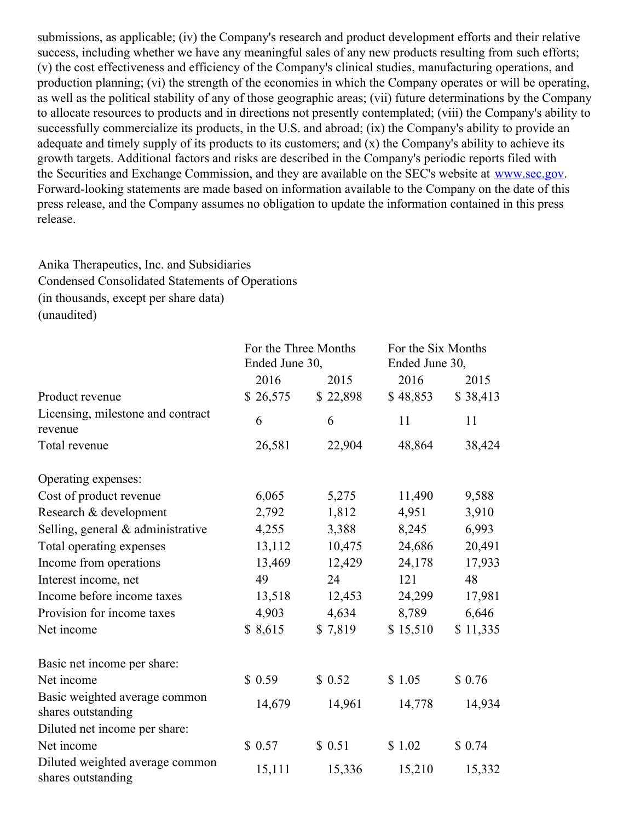submissions, as applicable; (iv) the Company's research and product development efforts and their relative success, including whether we have any meaningful sales of any new products resulting from such efforts; (v) the cost effectiveness and efficiency of the Company's clinical studies, manufacturing operations, and production planning; (vi) the strength of the economies in which the Company operates or will be operating, as well as the political stability of any of those geographic areas; (vii) future determinations by the Company to allocate resources to products and in directions not presently contemplated; (viii) the Company's ability to successfully commercialize its products, in the U.S. and abroad; (ix) the Company's ability to provide an adequate and timely supply of its products to its customers; and (x) the Company's ability to achieve its growth targets. Additional factors and risks are described in the Company's periodic reports filed with the Securities and Exchange Commission, and they are available on the SEC's website at [www.sec.gov](http://cts.businesswire.com/ct/CT?id=smartlink&url=http%3A%2F%2Fwww.sec.gov&esheet=51389765&newsitemid=20160727006327&lan=en-US&anchor=www.sec.gov&index=10&md5=5a3cf6eaf2c6e00d303107e49c9daaa7). Forward-looking statements are made based on information available to the Company on the date of this press release, and the Company assumes no obligation to update the information contained in this press release.

# Anika Therapeutics, Inc. and Subsidiaries Condensed Consolidated Statements of Operations (in thousands, except per share data) (unaudited)

|                                                       | For the Three Months<br>Ended June 30, |          | For the Six Months<br>Ended June 30, |          |  |  |
|-------------------------------------------------------|----------------------------------------|----------|--------------------------------------|----------|--|--|
|                                                       | 2016                                   | 2015     | 2016                                 | 2015     |  |  |
| Product revenue                                       | \$26,575                               | \$22,898 | \$48,853                             | \$38,413 |  |  |
| Licensing, milestone and contract<br>revenue          | 6                                      | 6        | 11                                   | 11       |  |  |
| Total revenue                                         | 26,581                                 | 22,904   | 48,864                               | 38,424   |  |  |
| Operating expenses:                                   |                                        |          |                                      |          |  |  |
| Cost of product revenue                               | 6,065                                  | 5,275    | 11,490                               | 9,588    |  |  |
| Research & development                                | 2,792                                  | 1,812    | 4,951                                | 3,910    |  |  |
| Selling, general & administrative                     | 4,255                                  | 3,388    | 8,245                                | 6,993    |  |  |
| Total operating expenses                              | 13,112                                 | 10,475   | 24,686                               | 20,491   |  |  |
| Income from operations                                | 13,469                                 | 12,429   | 24,178                               | 17,933   |  |  |
| Interest income, net                                  | 49                                     | 24       | 121                                  | 48       |  |  |
| Income before income taxes                            | 13,518                                 | 12,453   | 24,299                               | 17,981   |  |  |
| Provision for income taxes                            | 4,903                                  | 4,634    | 8,789                                | 6,646    |  |  |
| Net income                                            | \$8,615                                | \$7,819  | \$15,510                             | \$11,335 |  |  |
| Basic net income per share:                           |                                        |          |                                      |          |  |  |
| Net income                                            | \$0.59                                 | \$0.52   | \$1.05                               | \$0.76   |  |  |
| Basic weighted average common<br>shares outstanding   | 14,679                                 | 14,961   | 14,778                               | 14,934   |  |  |
| Diluted net income per share:                         |                                        |          |                                      |          |  |  |
| Net income                                            | \$0.57                                 | \$0.51   | \$1.02                               | \$0.74   |  |  |
| Diluted weighted average common<br>shares outstanding | 15,111                                 | 15,336   | 15,210                               | 15,332   |  |  |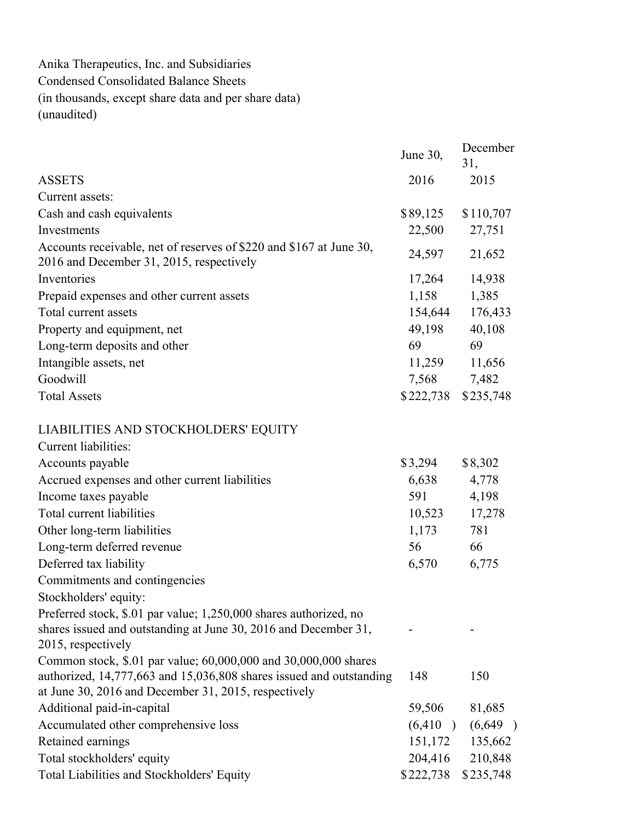Anika Therapeutics, Inc. and Subsidiaries Condensed Consolidated Balance Sheets (in thousands, except share data and per share data) (unaudited)

|                                                                                                                                      | June 30,                  | December<br>31, |
|--------------------------------------------------------------------------------------------------------------------------------------|---------------------------|-----------------|
| <b>ASSETS</b>                                                                                                                        | 2016                      | 2015            |
| Current assets:                                                                                                                      |                           |                 |
| Cash and cash equivalents                                                                                                            | \$89,125                  | \$110,707       |
| Investments                                                                                                                          | 22,500                    | 27,751          |
| Accounts receivable, net of reserves of \$220 and \$167 at June 30,<br>2016 and December 31, 2015, respectively                      | 24,597                    | 21,652          |
| Inventories                                                                                                                          | 17,264                    | 14,938          |
| Prepaid expenses and other current assets                                                                                            | 1,158                     | 1,385           |
| Total current assets                                                                                                                 | 154,644                   | 176,433         |
| Property and equipment, net                                                                                                          | 49,198                    | 40,108          |
| Long-term deposits and other                                                                                                         | 69                        | 69              |
| Intangible assets, net                                                                                                               | 11,259                    | 11,656          |
| Goodwill                                                                                                                             | 7,568                     | 7,482           |
| <b>Total Assets</b>                                                                                                                  | \$222,738                 | \$235,748       |
| LIABILITIES AND STOCKHOLDERS' EQUITY                                                                                                 |                           |                 |
| <b>Current liabilities:</b>                                                                                                          |                           |                 |
| Accounts payable                                                                                                                     | \$3,294                   | \$8,302         |
| Accrued expenses and other current liabilities                                                                                       | 6,638                     | 4,778           |
| Income taxes payable                                                                                                                 | 591                       | 4,198           |
| Total current liabilities                                                                                                            | 10,523                    | 17,278          |
| Other long-term liabilities                                                                                                          | 1,173                     | 781             |
| Long-term deferred revenue                                                                                                           | 56                        | 66              |
| Deferred tax liability                                                                                                               | 6,570                     | 6,775           |
| Commitments and contingencies                                                                                                        |                           |                 |
| Stockholders' equity:                                                                                                                |                           |                 |
| Preferred stock, \$.01 par value; 1,250,000 shares authorized, no<br>shares issued and outstanding at June 30, 2016 and December 31, |                           |                 |
| 2015, respectively                                                                                                                   |                           |                 |
| Common stock, \$.01 par value; 60,000,000 and 30,000,000 shares                                                                      |                           |                 |
| authorized, 14,777,663 and 15,036,808 shares issued and outstanding<br>at June 30, 2016 and December 31, 2015, respectively          | 148                       | 150             |
| Additional paid-in-capital                                                                                                           | 59,506                    | 81,685          |
| Accumulated other comprehensive loss                                                                                                 | (6, 410)<br>$\rightarrow$ | (6,649)         |
| Retained earnings                                                                                                                    | 151,172                   | 135,662         |
| Total stockholders' equity                                                                                                           | 204,416                   | 210,848         |
| Total Liabilities and Stockholders' Equity                                                                                           | \$222,738                 | \$235,748       |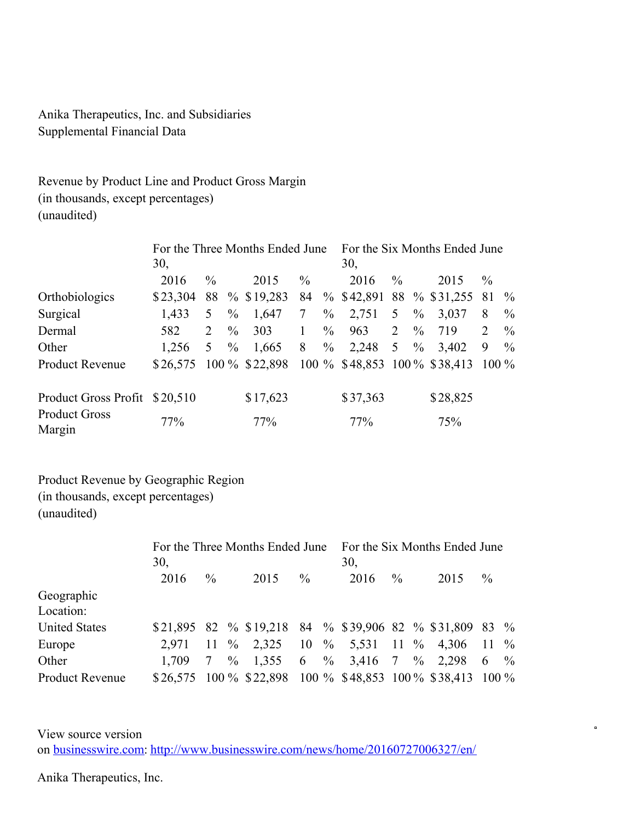Anika Therapeutics, Inc. and Subsidiaries Supplemental Financial Data

Revenue by Product Line and Product Gross Margin (in thousands, except percentages) (unaudited)

|                                |          | For the Three Months Ended June | For the Six Months Ended June |                                              |               |               |                             |                |               |          |               |               |  |
|--------------------------------|----------|---------------------------------|-------------------------------|----------------------------------------------|---------------|---------------|-----------------------------|----------------|---------------|----------|---------------|---------------|--|
|                                | 30,      |                                 |                               |                                              |               |               | 30,                         |                |               |          |               |               |  |
|                                | 2016     | $\frac{0}{0}$                   |                               | 2015                                         | $\frac{0}{0}$ |               | 2016                        | $\frac{0}{0}$  |               | 2015     | $\frac{0}{0}$ |               |  |
| Orthobiologics                 | \$23,304 |                                 |                               | 88 % \$19,283                                | 84            |               | $\%$ \$42,891 88 % \$31,255 |                |               |          | -81           | $\%$          |  |
| Surgical                       | 1,433    | 5 <sup>5</sup>                  | $\frac{0}{0}$                 | 1,647                                        | 7             | $\frac{0}{0}$ | 2,751                       | 5 <sup>5</sup> | $\frac{0}{0}$ | 3,037    | 8             | $\%$          |  |
| Dermal                         | 582      | 2                               | $\%$                          | 303                                          |               | $\frac{0}{0}$ | 963                         | $\overline{2}$ | $\%$          | 719      | 2             | $\frac{0}{0}$ |  |
| Other                          | 1,256    | 5                               | $\%$                          | 1,665                                        | 8             | $\%$          | 2,248                       | 5 <sup>5</sup> | $\%$          | 3,402    | 9             | $\frac{0}{0}$ |  |
| <b>Product Revenue</b>         | \$26,575 |                                 |                               | 100 % \$22,898 100 % \$48,853 100 % \$38,413 |               |               |                             |                |               |          | $100\%$       |               |  |
| Product Gross Profit \$20,510  |          |                                 |                               | \$17,623                                     |               |               | \$37,363                    |                |               | \$28,825 |               |               |  |
| <b>Product Gross</b><br>Margin | 77%      |                                 |                               | 77%                                          |               |               | 77%                         |                |               | 75%      |               |               |  |

Product Revenue by Geographic Region (in thousands, except percentages) (unaudited)

|                        | For the Three Months Ended June<br>30, |                 |  |                                                             |               |  | For the Six Months Ended June<br>30, |               |  |      |                 |  |  |
|------------------------|----------------------------------------|-----------------|--|-------------------------------------------------------------|---------------|--|--------------------------------------|---------------|--|------|-----------------|--|--|
|                        | 2016                                   | $\frac{0}{0}$   |  | 2015                                                        | $\frac{0}{0}$ |  | 2016                                 | $\frac{0}{0}$ |  | 2015 | $\%$            |  |  |
| Geographic             |                                        |                 |  |                                                             |               |  |                                      |               |  |      |                 |  |  |
| Location:              |                                        |                 |  |                                                             |               |  |                                      |               |  |      |                 |  |  |
| <b>United States</b>   |                                        |                 |  | \$21,895 82 % \$19,218 84 % \$39,906 82 % \$31,809 83 %     |               |  |                                      |               |  |      |                 |  |  |
| Europe                 | 2.971                                  |                 |  | 11 \% 2,325 10 \% 5,531 11 \% 4,306 11 \%                   |               |  |                                      |               |  |      |                 |  |  |
| Other                  | 1.709                                  | $7\overline{ }$ |  | $\%$ 1,355 6 % 3,416 7 % 2,298                              |               |  |                                      |               |  |      | 6 $\frac{9}{6}$ |  |  |
| <b>Product Revenue</b> |                                        |                 |  | \$26,575 100 % \$22,898 100 % \$48,853 100 % \$38,413 100 % |               |  |                                      |               |  |      |                 |  |  |

View source version on [businesswire.com:](http://businesswire.com/) <http://www.businesswire.com/news/home/20160727006327/en/>  $\blacksquare$ 

Anika Therapeutics, Inc.